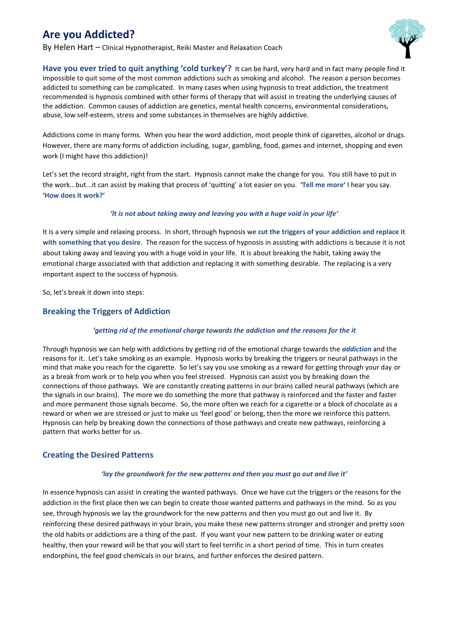# **Are you Addicted?**

By Helen Hart – Clinical Hypnotherapist, Reiki Master and Relaxation Coach



**Have you ever tried to quit anything 'cold turkey'?** It can be hard, very hard and in fact many people find it impossible to quit some of the most common addictions such as smoking and alcohol. The reason a person becomes addicted to something can be complicated. In many cases when using hypnosis to treat addiction, the treatment recommended is hypnosis combined with other forms of therapy that will assist in treating the underlying causes of the addiction. Common causes of addiction are genetics, mental health concerns, environmental considerations, abuse, low self-esteem, stress and some substances in themselves are highly addictive.

Addictions come in many forms. When you hear the word addiction, most people think of cigarettes, alcohol or drugs. However, there are many forms of addiction including, sugar, gambling, food, games and internet, shopping and even work (I might have this addiction)!

Let's set the record straight, right from the start. Hypnosis cannot make the change for you. You still have to put in the work...but...it can assist by making that process of 'quitting' a lot easier on you. **'Tell me more'** I hear you say. **'How does it work?'**

#### *'It is not about taking away and leaving you with a huge void in your life'*

It is a very simple and relaxing process. In short, through hypnosis we **cut the triggers of your addiction and replace it with something that you desire**. The reason for the success of hypnosis in assisting with addictions is because it is not about taking away and leaving you with a huge void in your life. It is about breaking the habit, taking away the emotional charge associated with that addiction and replacing it with something desirable. The replacing is a very important aspect to the success of hypnosis.

So, let's break it down into steps:

## **Breaking the Triggers of Addiction**

## *'getting rid of the emotional charge towards the addiction and the reasons for the it*

Through hypnosis we can help with addictions by getting rid of the emotional charge towards the *addiction* and the reasons for it. Let's take smoking as an example. Hypnosis works by breaking the triggers or neural pathways in the mind that make you reach for the cigarette. So let's say you use smoking as a reward for getting through your day or as a break from work or to help you when you feel stressed. Hypnosis can assist you by breaking down the connections of those pathways. We are constantly creating patterns in our brains called neural pathways (which are the signals in our brains). The more we do something the more that pathway is reinforced and the faster and faster and more permanent those signals become. So, the more often we reach for a cigarette or a block of chocolate as a reward or when we are stressed or just to make us 'feel good' or belong, then the more we reinforce this pattern. Hypnosis can help by breaking down the connections of those pathways and create new pathways, reinforcing a pattern that works better for us.

## **Creating the Desired Patterns**

### *'lay the groundwork for the new patterns and then you must go out and live it'*

In essence hypnosis can assist in creating the wanted pathways. Once we have cut the triggers or the reasons for the addiction in the first place then we can begin to create those wanted patterns and pathways in the mind. So as you see, through hypnosis we lay the groundwork for the new patterns and then you must go out and live it. By reinforcing these desired pathways in your brain, you make these new patterns stronger and stronger and pretty soon the old habits or addictions are a thing of the past. If you want your new pattern to be drinking water or eating healthy, then your reward will be that you will start to feel terrific in a short period of time. This in turn creates endorphins, the feel good chemicals in our brains, and further enforces the desired pattern.